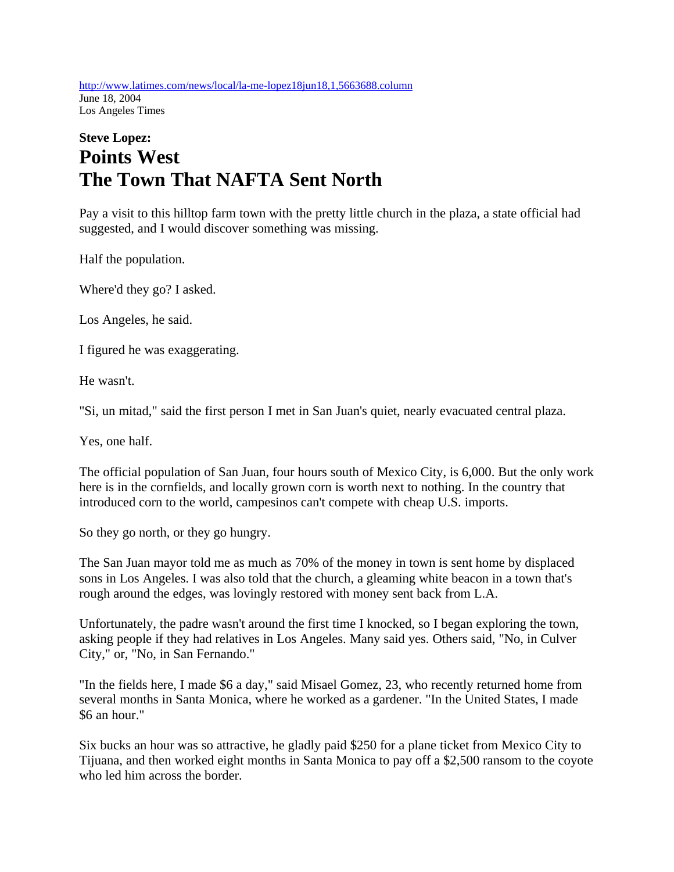http://www.latimes.com/news/local/la-me-lopez18jun18,1,5663688.column June 18, 2004 Los Angeles Times

## **Steve Lopez: Points West The Town That NAFTA Sent North**

Pay a visit to this hilltop farm town with the pretty little church in the plaza, a state official had suggested, and I would discover something was missing.

Half the population.

Where'd they go? I asked.

Los Angeles, he said.

I figured he was exaggerating.

He wasn't.

"Si, un mitad," said the first person I met in San Juan's quiet, nearly evacuated central plaza.

Yes, one half.

The official population of San Juan, four hours south of Mexico City, is 6,000. But the only work here is in the cornfields, and locally grown corn is worth next to nothing. In the country that introduced corn to the world, campesinos can't compete with cheap U.S. imports.

So they go north, or they go hungry.

The San Juan mayor told me as much as 70% of the money in town is sent home by displaced sons in Los Angeles. I was also told that the church, a gleaming white beacon in a town that's rough around the edges, was lovingly restored with money sent back from L.A.

Unfortunately, the padre wasn't around the first time I knocked, so I began exploring the town, asking people if they had relatives in Los Angeles. Many said yes. Others said, "No, in Culver City," or, "No, in San Fernando."

"In the fields here, I made \$6 a day," said Misael Gomez, 23, who recently returned home from several months in Santa Monica, where he worked as a gardener. "In the United States, I made \$6 an hour."

Six bucks an hour was so attractive, he gladly paid \$250 for a plane ticket from Mexico City to Tijuana, and then worked eight months in Santa Monica to pay off a \$2,500 ransom to the coyote who led him across the border.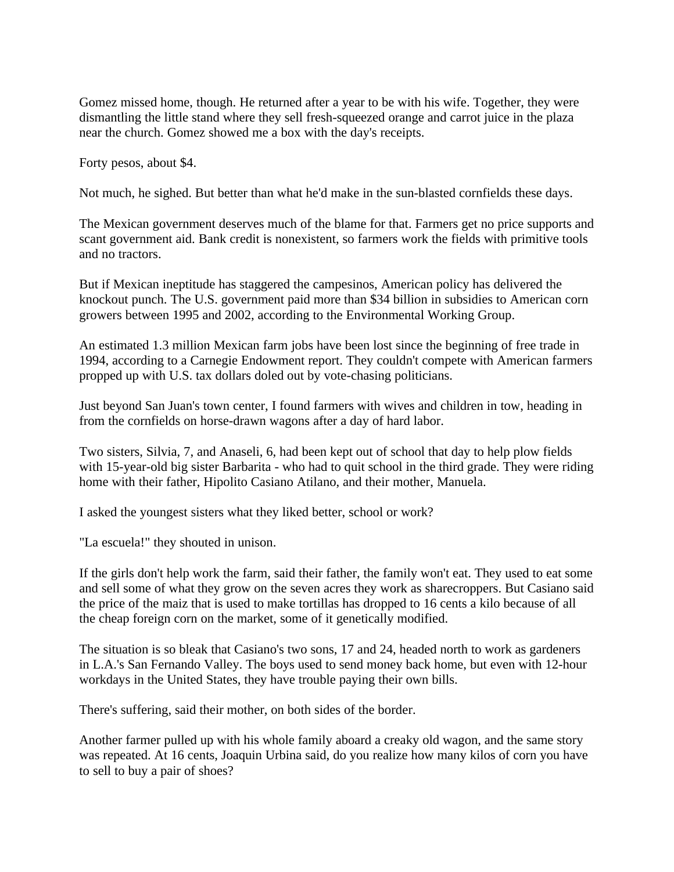Gomez missed home, though. He returned after a year to be with his wife. Together, they were dismantling the little stand where they sell fresh-squeezed orange and carrot juice in the plaza near the church. Gomez showed me a box with the day's receipts.

Forty pesos, about \$4.

Not much, he sighed. But better than what he'd make in the sun-blasted cornfields these days.

The Mexican government deserves much of the blame for that. Farmers get no price supports and scant government aid. Bank credit is nonexistent, so farmers work the fields with primitive tools and no tractors.

But if Mexican ineptitude has staggered the campesinos, American policy has delivered the knockout punch. The U.S. government paid more than \$34 billion in subsidies to American corn growers between 1995 and 2002, according to the Environmental Working Group.

An estimated 1.3 million Mexican farm jobs have been lost since the beginning of free trade in 1994, according to a Carnegie Endowment report. They couldn't compete with American farmers propped up with U.S. tax dollars doled out by vote-chasing politicians.

Just beyond San Juan's town center, I found farmers with wives and children in tow, heading in from the cornfields on horse-drawn wagons after a day of hard labor.

Two sisters, Silvia, 7, and Anaseli, 6, had been kept out of school that day to help plow fields with 15-year-old big sister Barbarita - who had to quit school in the third grade. They were riding home with their father, Hipolito Casiano Atilano, and their mother, Manuela.

I asked the youngest sisters what they liked better, school or work?

"La escuela!" they shouted in unison.

If the girls don't help work the farm, said their father, the family won't eat. They used to eat some and sell some of what they grow on the seven acres they work as sharecroppers. But Casiano said the price of the maiz that is used to make tortillas has dropped to 16 cents a kilo because of all the cheap foreign corn on the market, some of it genetically modified.

The situation is so bleak that Casiano's two sons, 17 and 24, headed north to work as gardeners in L.A.'s San Fernando Valley. The boys used to send money back home, but even with 12-hour workdays in the United States, they have trouble paying their own bills.

There's suffering, said their mother, on both sides of the border.

Another farmer pulled up with his whole family aboard a creaky old wagon, and the same story was repeated. At 16 cents, Joaquin Urbina said, do you realize how many kilos of corn you have to sell to buy a pair of shoes?